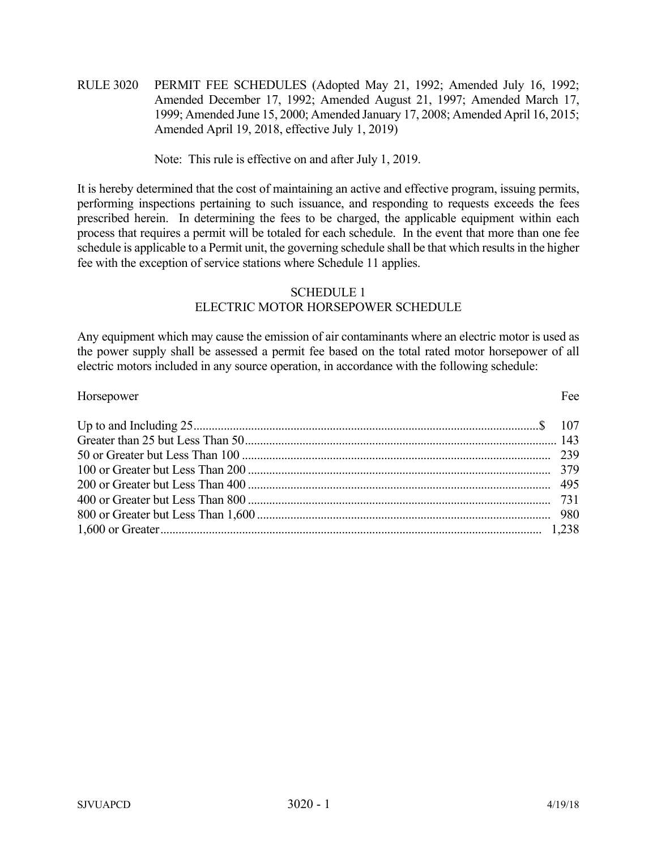RULE 3020 PERMIT FEE SCHEDULES (Adopted May 21, 1992; Amended July 16, 1992; Amended December 17, 1992; Amended August 21, 1997; Amended March 17, 1999; Amended June 15, 2000; Amended January 17, 2008; Amended April 16, 2015; Amended April 19, 2018, effective July 1, 2019)

Note: This rule is effective on and after July 1, 2019.

It is hereby determined that the cost of maintaining an active and effective program, issuing permits, performing inspections pertaining to such issuance, and responding to requests exceeds the fees prescribed herein. In determining the fees to be charged, the applicable equipment within each process that requires a permit will be totaled for each schedule. In the event that more than one fee schedule is applicable to a Permit unit, the governing schedule shall be that which results in the higher fee with the exception of service stations where Schedule 11 applies.

# SCHEDULE 1

# ELECTRIC MOTOR HORSEPOWER SCHEDULE

Any equipment which may cause the emission of air contaminants where an electric motor is used as the power supply shall be assessed a permit fee based on the total rated motor horsepower of all electric motors included in any source operation, in accordance with the following schedule:

| Horsepower | Fee |
|------------|-----|
|            |     |
|            |     |
|            |     |
|            |     |
|            |     |
|            |     |
|            |     |
|            |     |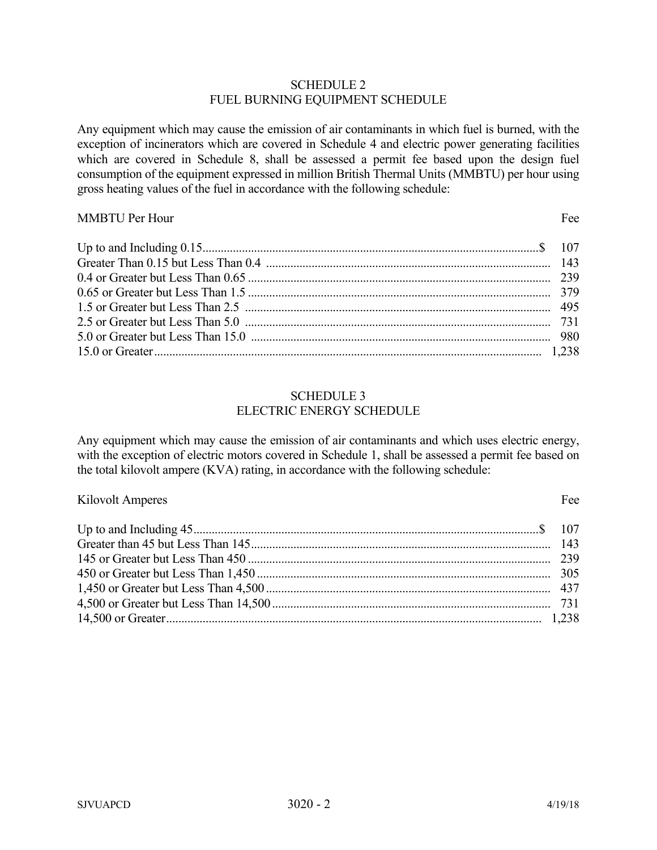### SCHEDULE 2 FUEL BURNING EQUIPMENT SCHEDULE

Any equipment which may cause the emission of air contaminants in which fuel is burned, with the exception of incinerators which are covered in Schedule 4 and electric power generating facilities which are covered in Schedule 8, shall be assessed a permit fee based upon the design fuel consumption of the equipment expressed in million British Thermal Units (MMBTU) per hour using gross heating values of the fuel in accordance with the following schedule:

### MMBTU Per Hour Fee

| 1.238 component resonance component in the set of $1,238$ component $1,238$ |  |
|-----------------------------------------------------------------------------|--|

#### SCHEDULE 3 ELECTRIC ENERGY SCHEDULE

Any equipment which may cause the emission of air contaminants and which uses electric energy, with the exception of electric motors covered in Schedule 1, shall be assessed a permit fee based on the total kilovolt ampere (KVA) rating, in accordance with the following schedule:

Kilovolt Amperes Fee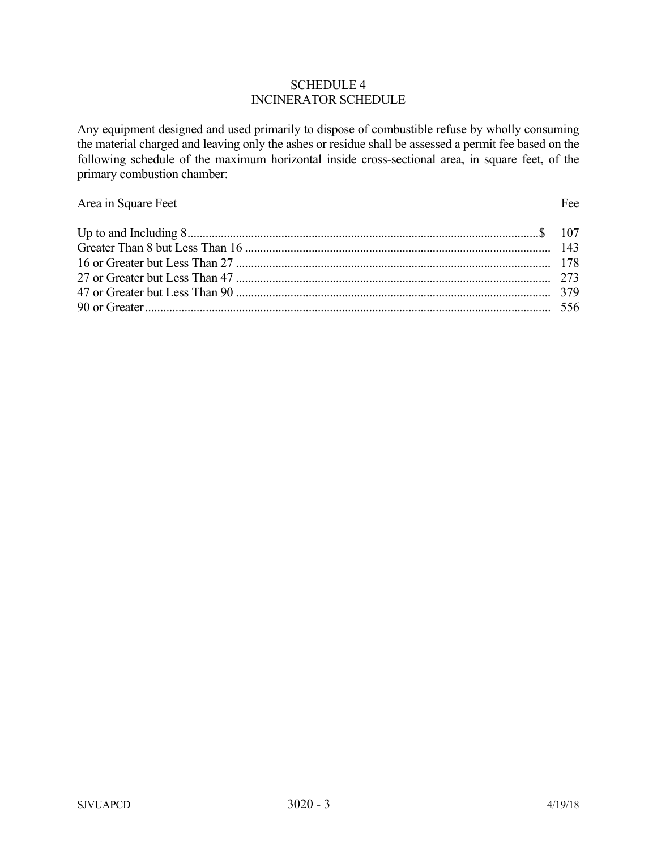#### SCHEDULE 4 INCINERATOR SCHEDULE

Any equipment designed and used primarily to dispose of combustible refuse by wholly consuming the material charged and leaving only the ashes or residue shall be assessed a permit fee based on the following schedule of the maximum horizontal inside cross-sectional area, in square feet, of the primary combustion chamber:

# Area in Square Feet Fee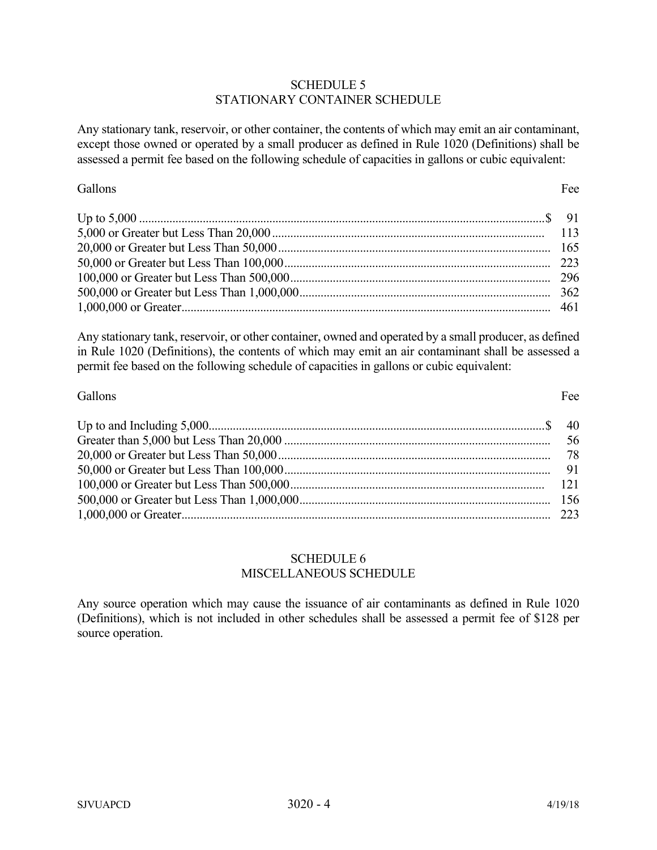### SCHEDULE 5 STATIONARY CONTAINER SCHEDULE

Any stationary tank, reservoir, or other container, the contents of which may emit an air contaminant, except those owned or operated by a small producer as defined in Rule 1020 (Definitions) shall be assessed a permit fee based on the following schedule of capacities in gallons or cubic equivalent:

Gallons Fee

Any stationary tank, reservoir, or other container, owned and operated by a small producer, as defined in Rule 1020 (Definitions), the contents of which may emit an air contaminant shall be assessed a permit fee based on the following schedule of capacities in gallons or cubic equivalent:

## Gallons Fee

Up to and Including 5,000 ............................................................................................................... \$ 40 Greater than 5,000 but Less Than 20,000 ........................................................................................ 56 20,000 or Greater but Less Than 50,000 .......................................................................................... 78 50,000 or Greater but Less Than 100,000 ........................................................................................ 91 100,000 or Greater but Less Than 500,000 .................................................................................... 121 500,000 or Greater but Less Than 1,000,000 ................................................................................... 156 1,000,000 or Greater .......................................................................................................................... 223

# SCHEDULE 6 MISCELLANEOUS SCHEDULE

Any source operation which may cause the issuance of air contaminants as defined in Rule 1020 (Definitions), which is not included in other schedules shall be assessed a permit fee of \$128 per source operation.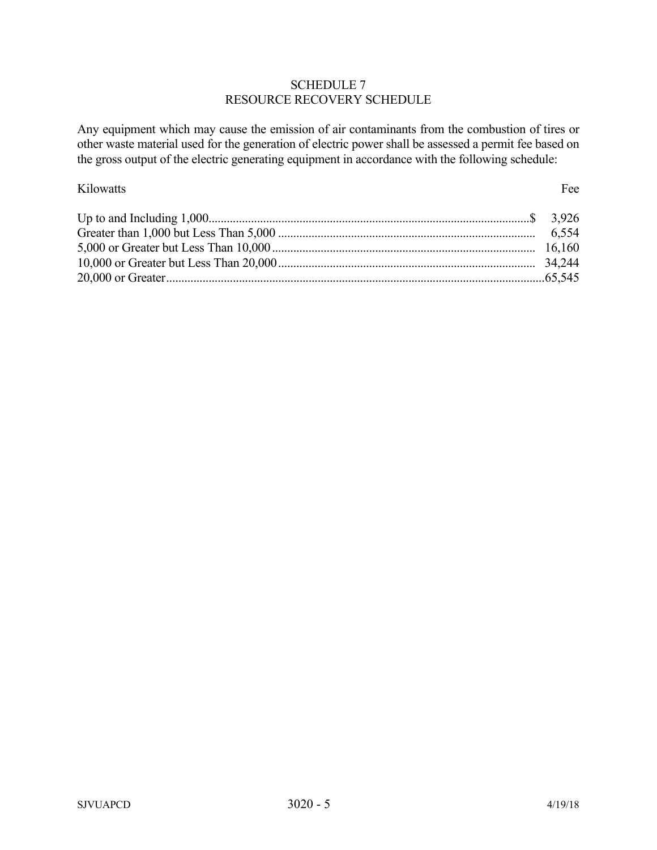# SCHEDULE 7 RESOURCE RECOVERY SCHEDULE

Any equipment which may cause the emission of air contaminants from the combustion of tires or other waste material used for the generation of electric power shall be assessed a permit fee based on the gross output of the electric generating equipment in accordance with the following schedule:

## Kilowatts Fee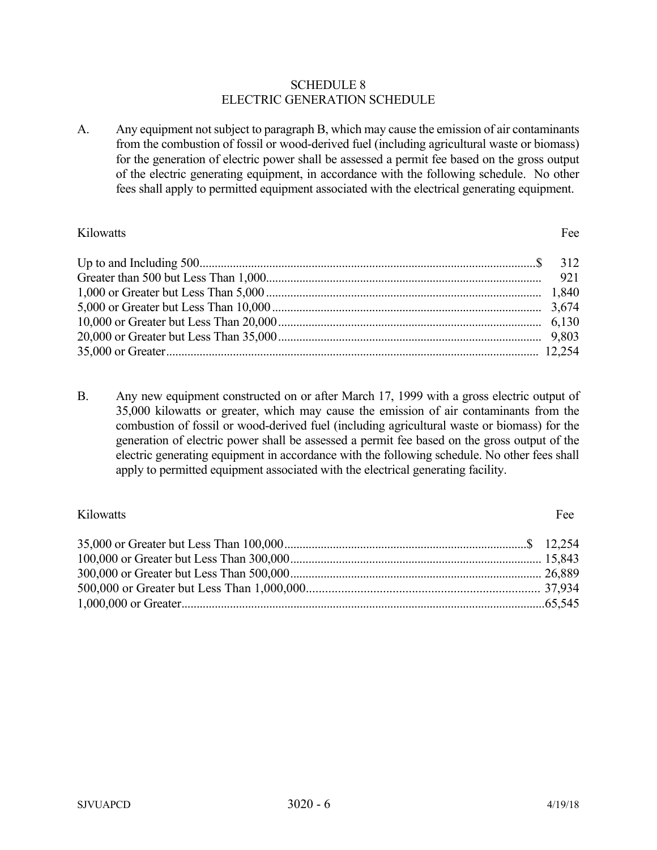#### SCHEDULE 8 ELECTRIC GENERATION SCHEDULE

A. Any equipment not subject to paragraph B, which may cause the emission of air contaminants from the combustion of fossil or wood-derived fuel (including agricultural waste or biomass) for the generation of electric power shall be assessed a permit fee based on the gross output of the electric generating equipment, in accordance with the following schedule. No other fees shall apply to permitted equipment associated with the electrical generating equipment.

#### Kilowatts Fee

B. Any new equipment constructed on or after March 17, 1999 with a gross electric output of 35,000 kilowatts or greater, which may cause the emission of air contaminants from the combustion of fossil or wood-derived fuel (including agricultural waste or biomass) for the generation of electric power shall be assessed a permit fee based on the gross output of the electric generating equipment in accordance with the following schedule. No other fees shall apply to permitted equipment associated with the electrical generating facility.

# Kilowatts Fee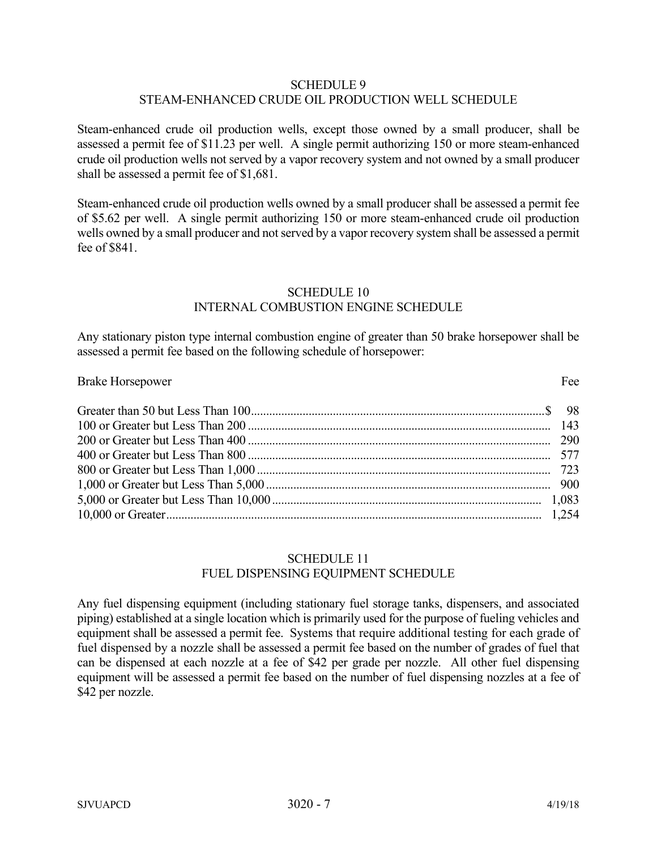### SCHEDULE 9 STEAM-ENHANCED CRUDE OIL PRODUCTION WELL SCHEDULE

Steam-enhanced crude oil production wells, except those owned by a small producer, shall be assessed a permit fee of \$11.23 per well. A single permit authorizing 150 or more steam-enhanced crude oil production wells not served by a vapor recovery system and not owned by a small producer shall be assessed a permit fee of \$1,681.

Steam-enhanced crude oil production wells owned by a small producer shall be assessed a permit fee of \$5.62 per well. A single permit authorizing 150 or more steam-enhanced crude oil production wells owned by a small producer and not served by a vapor recovery system shall be assessed a permit fee of \$841.

# SCHEDULE 10 INTERNAL COMBUSTION ENGINE SCHEDULE

Any stationary piston type internal combustion engine of greater than 50 brake horsepower shall be assessed a permit fee based on the following schedule of horsepower:

#### Brake Horsepower Fee

# SCHEDULE 11 FUEL DISPENSING EQUIPMENT SCHEDULE

Any fuel dispensing equipment (including stationary fuel storage tanks, dispensers, and associated piping) established at a single location which is primarily used for the purpose of fueling vehicles and equipment shall be assessed a permit fee. Systems that require additional testing for each grade of fuel dispensed by a nozzle shall be assessed a permit fee based on the number of grades of fuel that can be dispensed at each nozzle at a fee of \$42 per grade per nozzle. All other fuel dispensing equipment will be assessed a permit fee based on the number of fuel dispensing nozzles at a fee of \$42 per nozzle.